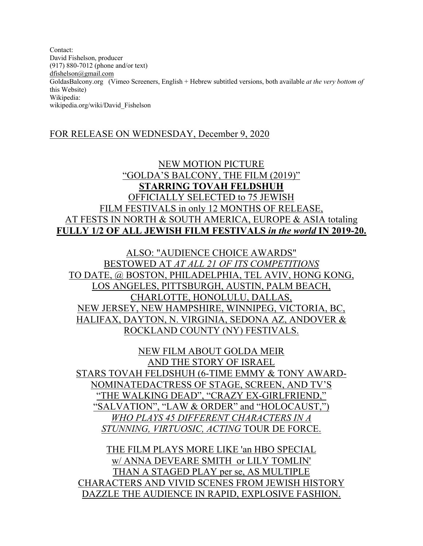Contact: David Fishelson, producer (917) 880-7012 (phone and/or text) dfishelson@gmail.com GoldasBalcony.org (Vimeo Screeners, English + Hebrew subtitled versions, both available *at the very bottom of*  this Website) Wikipedia: wikipedia.org/wiki/David\_Fishelson

#### FOR RELEASE ON WEDNESDAY, December 9, 2020

## NEW MOTION PICTURE "GOLDA'S BALCONY, THE FILM (2019)" **STARRING TOVAH FELDSHUH** OFFICIALLY SELECTED to 75 JEWISH FILM FESTIVALS in only 12 MONTHS OF RELEASE, AT FESTS IN NORTH & SOUTH AMERICA, EUROPE & ASIA totaling **FULLY 1/2 OF ALL JEWISH FILM FESTIVALS** *in the world* **IN 2019-20.**

ALSO: "AUDIENCE CHOICE AWARDS" BESTOWED AT *AT ALL 21 OF ITS COMPETITIONS* TO DATE, @ BOSTON, PHILADELPHIA, TEL AVIV, HONG KONG, LOS ANGELES, PITTSBURGH, AUSTIN, PALM BEACH, CHARLOTTE, HONOLULU, DALLAS, NEW JERSEY, NEW HAMPSHIRE, WINNIPEG, VICTORIA, BC, HALIFAX, DAYTON, N. VIRGINIA, SEDONA AZ, ANDOVER & ROCKLAND COUNTY (NY) FESTIVALS.

NEW FILM ABOUT GOLDA MEIR AND THE STORY OF ISRAEL STARS TOVAH FELDSHUH (6-TIME EMMY & TONY AWARD-NOMINATEDACTRESS OF STAGE, SCREEN, AND TV'S "THE WALKING DEAD", "CRAZY EX-GIRLFRIEND," "SALVATION", "LAW & ORDER" and "HOLOCAUST,") *WHO PLAYS 45 DIFFERENT CHARACTERS IN A STUNNING, VIRTUOSIC, ACTING* TOUR DE FORCE.

THE FILM PLAYS MORE LIKE 'an HBO SPECIAL w/ ANNA DEVEARE SMITH or LILY TOMLIN' THAN A STAGED PLAY per se, AS MULTIPLE CHARACTERS AND VIVID SCENES FROM JEWISH HISTORY DAZZLE THE AUDIENCE IN RAPID, EXPLOSIVE FASHION.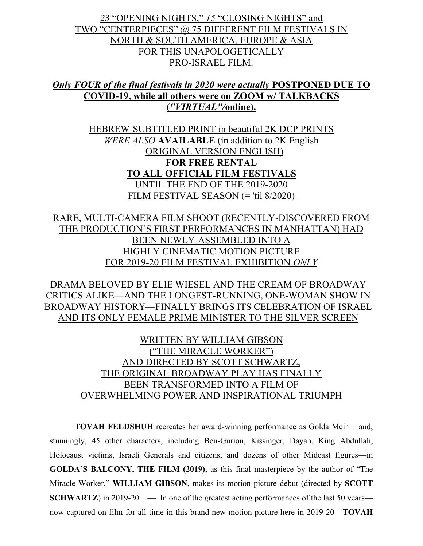# *23* "OPENING NIGHTS," *15* "CLOSING NIGHTS" and TWO "CENTERPIECES" @ 75 DIFFERENT FILM FESTIVALS IN NORTH & SOUTH AMERICA, EUROPE & ASIA FOR THIS UNAPOLOGETICALLY PRO-ISRAEL FILM.

# *Only FOUR of the final festivals in 2020 were actually* **POSTPONED DUE TO COVID-19, while all others were on ZOOM w/ TALKBACKS (***"VIRTUAL"/***online).**

HEBREW-SUBTITLED PRINT in beautiful 2K DCP PRINTS *WERE ALSO* **AVAILABLE** (in addition to 2K English ORIGINAL VERSION ENGLISH) **FOR FREE RENTAL TO ALL OFFICIAL FILM FESTIVALS** UNTIL THE END OF THE 2019-2020 FILM FESTIVAL SEASON (= 'til 8/2020)

RARE, MULTI-CAMERA FILM SHOOT (RECENTLY-DISCOVERED FROM THE PRODUCTION'S FIRST PERFORMANCES IN MANHATTAN) HAD BEEN NEWLY-ASSEMBLED INTO A HIGHLY CINEMATIC MOTION PICTURE FOR 2019-20 FILM FESTIVAL EXHIBITION *ONLY*

DRAMA BELOVED BY ELIE WIESEL AND THE CREAM OF BROADWAY CRITICS ALIKE—AND THE LONGEST-RUNNING, ONE-WOMAN SHOW IN BROADWAY HISTORY—FINALLY BRINGS ITS CELEBRATION OF ISRAEL AND ITS ONLY FEMALE PRIME MINISTER TO THE SILVER SCREEN

> WRITTEN BY WILLIAM GIBSON ("THE MIRACLE WORKER") AND DIRECTED BY SCOTT SCHWARTZ, THE ORIGINAL BROADWAY PLAY HAS FINALLY BEEN TRANSFORMED INTO A FILM OF OVERWHELMING POWER AND INSPIRATIONAL TRIUMPH

**TOVAH FELDSHUH** recreates her award-winning performance as Golda Meir —and, stunningly, 45 other characters, including Ben-Gurion, Kissinger, Dayan, King Abdullah, Holocaust victims, Israeli Generals and citizens, and dozens of other Mideast figures—in **GOLDA'S BALCONY, THE FILM (2019)**, as this final masterpiece by the author of "The Miracle Worker," **WILLIAM GIBSON**, makes its motion picture debut (directed by **SCOTT SCHWARTZ**) in 2019-20. — In one of the greatest acting performances of the last 50 years now captured on film for all time in this brand new motion picture here in 2019-20—**TOVAH**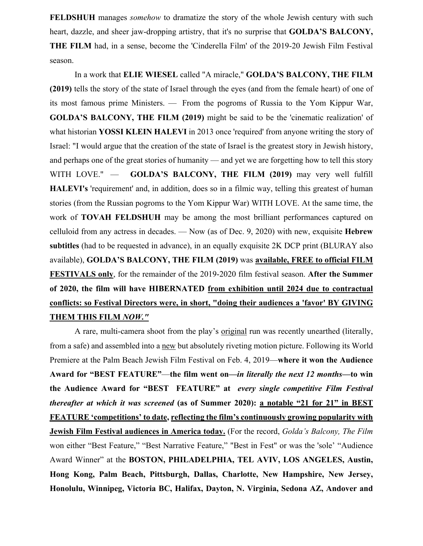**FELDSHUH** manages *somehow* to dramatize the story of the whole Jewish century with such heart, dazzle, and sheer jaw-dropping artistry, that it's no surprise that **GOLDA'S BALCONY, THE FILM** had, in a sense, become the 'Cinderella Film' of the 2019-20 Jewish Film Festival season.

In a work that **ELIE WIESEL** called "A miracle," **GOLDA'S BALCONY, THE FILM (2019)** tells the story of the state of Israel through the eyes (and from the female heart) of one of its most famous prime Ministers. — From the pogroms of Russia to the Yom Kippur War, **GOLDA'S BALCONY, THE FILM (2019)** might be said to be the 'cinematic realization' of what historian **YOSSI KLEIN HALEVI** in 2013 once 'required' from anyone writing the story of Israel: "I would argue that the creation of the state of Israel is the greatest story in Jewish history, and perhaps one of the great stories of humanity — and yet we are forgetting how to tell this story WITH LOVE." — **GOLDA'S BALCONY, THE FILM (2019)** may very well fulfill **HALEVI's** 'requirement' and, in addition, does so in a filmic way, telling this greatest of human stories (from the Russian pogroms to the Yom Kippur War) WITH LOVE. At the same time, the work of **TOVAH FELDSHUH** may be among the most brilliant performances captured on celluloid from any actress in decades. — Now (as of Dec. 9, 2020) with new, exquisite **Hebrew subtitles** (had to be requested in advance), in an equally exquisite 2K DCP print (BLURAY also available), **GOLDA'S BALCONY, THE FILM (2019)** was **available, FREE to official FILM FESTIVALS only**, for the remainder of the 2019-2020 film festival season. **After the Summer of 2020, the film will have HIBERNATED from exhibition until 2024 due to contractual conflicts: so Festival Directors were, in short, "doing their audiences a 'favor' BY GIVING THEM THIS FILM** *NOW."*

A rare, multi-camera shoot from the play's original run was recently unearthed (literally, from a safe) and assembled into a new but absolutely riveting motion picture. Following its World Premiere at the Palm Beach Jewish Film Festival on Feb. 4, 2019—**where it won the Audience Award for "BEST FEATURE"**—**the film went on—***in literally the next 12 months—***to win the Audience Award for "BEST FEATURE" at** *every single competitive Film Festival thereafter at which it was screened* **(as of Summer 2020): a notable "21 for 21" in BEST FEATURE 'competitions' to date, reflecting the film's continuously growing popularity with Jewish Film Festival audiences in America today.** (For the record, *Golda's Balcony, The Film* won either "Best Feature," "Best Narrative Feature," "Best in Fest" or was the 'sole' "Audience Award Winner" at the **BOSTON, PHILADELPHIA, TEL AVIV, LOS ANGELES, Austin, Hong Kong, Palm Beach, Pittsburgh, Dallas, Charlotte, New Hampshire, New Jersey, Honolulu, Winnipeg, Victoria BC, Halifax, Dayton, N. Virginia, Sedona AZ, Andover and**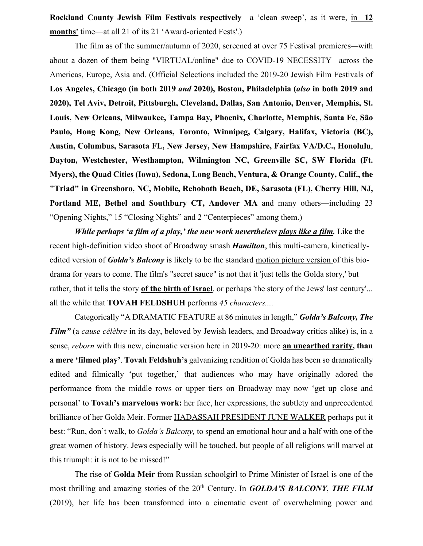**Rockland County Jewish Film Festivals respectively**—a 'clean sweep', as it were, in **12 months'** time—at all 21 of its 21 'Award-oriented Fests'.)

The film as of the summer/autumn of 2020, screened at over 75 Festival premieres*—*with about a dozen of them being "VIRTUAL/online" due to COVID-19 NECESSITY*—*across the Americas, Europe, Asia and. (Official Selections included the 2019-20 Jewish Film Festivals of **Los Angeles, Chicago (in both 2019** *and* **2020), Boston, Philadelphia (***also* **in both 2019 and 2020), Tel Aviv, Detroit, Pittsburgh, Cleveland, Dallas, San Antonio, Denver, Memphis, St. Louis, New Orleans, Milwaukee, Tampa Bay, Phoenix, Charlotte, Memphis, Santa Fe, São Paulo, Hong Kong, New Orleans, Toronto, Winnipeg, Calgary, Halifax, Victoria (BC), Austin, Columbus, Sarasota FL, New Jersey, New Hampshire, Fairfax VA/D.C., Honolulu**, **Dayton, Westchester, Westhampton, Wilmington NC, Greenville SC, SW Florida (Ft. Myers), the Quad Cities (Iowa), Sedona, Long Beach, Ventura, & Orange County, Calif., the "Triad" in Greensboro, NC, Mobile, Rehoboth Beach, DE, Sarasota (FL), Cherry Hill, NJ, Portland ME, Bethel and Southbury CT, Andover MA** and many others—including 23 "Opening Nights," 15 "Closing Nights" and 2 "Centerpieces" among them.)

*While perhaps 'a film of a play,' the new work nevertheless plays like a film.* Like the recent high-definition video shoot of Broadway smash *Hamilton*, this multi-camera, kineticallyedited version of *Golda's Balcony* is likely to be the standard motion picture version of this biodrama for years to come. The film's "secret sauce" is not that it 'just tells the Golda story,' but rather, that it tells the story **of the birth of Israel**, or perhaps 'the story of the Jews' last century'... all the while that **TOVAH FELDSHUH** performs *45 characters....*

Categorically "A DRAMATIC FEATURE at 86 minutes in length," *Golda's Balcony, The Film"* (a *cause célèbre* in its day, beloved by Jewish leaders, and Broadway critics alike) is, in a sense, *reborn* with this new, cinematic version here in 2019-20: more **an unearthed rarity, than a mere 'filmed play'**. **Tovah Feldshuh's** galvanizing rendition of Golda has been so dramatically edited and filmically 'put together,' that audiences who may have originally adored the performance from the middle rows or upper tiers on Broadway may now 'get up close and personal' to **Tovah's marvelous work:** her face, her expressions, the subtlety and unprecedented brilliance of her Golda Meir. Former HADASSAH PRESIDENT JUNE WALKER perhaps put it best: "Run, don't walk, to *Golda's Balcony,* to spend an emotional hour and a half with one of the great women of history. Jews especially will be touched, but people of all religions will marvel at this triumph: it is not to be missed!"

The rise of **Golda Meir** from Russian schoolgirl to Prime Minister of Israel is one of the most thrilling and amazing stories of the 20<sup>th</sup> Century. In *GOLDA'S BALCONY*, **THE FILM** (2019), her life has been transformed into a cinematic event of overwhelming power and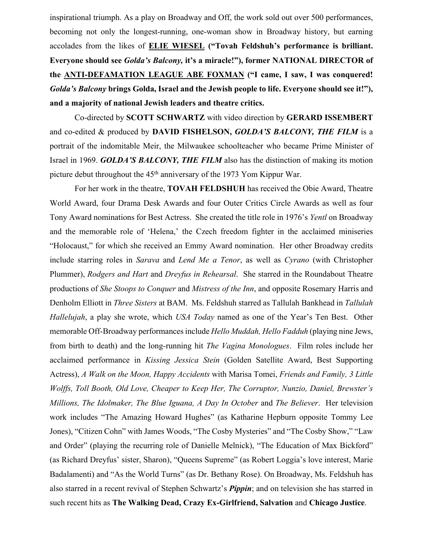inspirational triumph. As a play on Broadway and Off, the work sold out over 500 performances, becoming not only the longest-running, one-woman show in Broadway history, but earning accolades from the likes of **ELIE WIESEL ("Tovah Feldshuh's performance is brilliant. Everyone should see** *Golda's Balcony,* **it's a miracle!"), former NATIONAL DIRECTOR of the ANTI-DEFAMATION LEAGUE ABE FOXMAN ("I came, I saw, I was conquered!**  *Golda's Balcony* **brings Golda, Israel and the Jewish people to life. Everyone should see it!"), and a majority of national Jewish leaders and theatre critics.**

Co-directed by **SCOTT SCHWARTZ** with video direction by **GERARD ISSEMBERT** and co-edited & produced by **DAVID FISHELSON,** *GOLDA'S BALCONY, THE FILM* is a portrait of the indomitable Meir, the Milwaukee schoolteacher who became Prime Minister of Israel in 1969. *GOLDA'S BALCONY, THE FILM* also has the distinction of making its motion picture debut throughout the 45<sup>th</sup> anniversary of the 1973 Yom Kippur War.

For her work in the theatre, **TOVAH FELDSHUH** has received the Obie Award, Theatre World Award, four Drama Desk Awards and four Outer Critics Circle Awards as well as four Tony Award nominations for Best Actress. She created the title role in 1976's *Yentl* on Broadway and the memorable role of 'Helena,' the Czech freedom fighter in the acclaimed miniseries "Holocaust," for which she received an Emmy Award nomination. Her other Broadway credits include starring roles in *Sarava* and *Lend Me a Tenor*, as well as *Cyrano* (with Christopher Plummer), *Rodgers and Hart* and *Dreyfus in Rehearsal*. She starred in the Roundabout Theatre productions of *She Stoops to Conquer* and *Mistress of the Inn*, and opposite Rosemary Harris and Denholm Elliott in *Three Sisters* at BAM. Ms. Feldshuh starred as Tallulah Bankhead in *Tallulah Hallelujah*, a play she wrote, which *USA Today* named as one of the Year's Ten Best. Other memorable Off-Broadway performancesinclude *Hello Muddah, Hello Fadduh* (playing nine Jews, from birth to death) and the long-running hit *The Vagina Monologues*. Film roles include her acclaimed performance in *Kissing Jessica Stein* (Golden Satellite Award, Best Supporting Actress), *A Walk on the Moon, Happy Accidents* with Marisa Tomei, *Friends and Family, 3 Little Wolffs, Toll Booth, Old Love, Cheaper to Keep Her, The Corruptor, Nunzio, Daniel, Brewster's Millions, The Idolmaker, The Blue Iguana, A Day In October* and *The Believer*. Her television work includes "The Amazing Howard Hughes" (as Katharine Hepburn opposite Tommy Lee Jones), "Citizen Cohn" with James Woods, "The Cosby Mysteries" and "The Cosby Show," "Law and Order" (playing the recurring role of Danielle Melnick), "The Education of Max Bickford" (as Richard Dreyfus' sister, Sharon), "Queens Supreme" (as Robert Loggia's love interest, Marie Badalamenti) and "As the World Turns" (as Dr. Bethany Rose). On Broadway, Ms. Feldshuh has also starred in a recent revival of Stephen Schwartz's *Pippin*; and on television she has starred in such recent hits as **The Walking Dead, Crazy Ex-Girlfriend, Salvation** and **Chicago Justice**.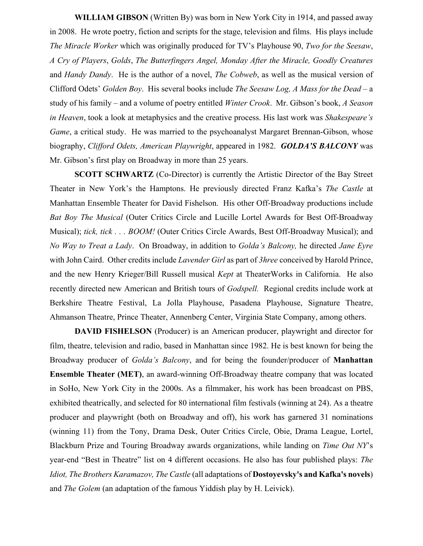**WILLIAM GIBSON** (Written By) was born in New York City in 1914, and passed away in 2008. He wrote poetry, fiction and scripts for the stage, television and films. His plays include *The Miracle Worker* which was originally produced for TV's Playhouse 90, *Two for the Seesaw*, *A Cry of Players*, *Golds*, *The Butterfingers Angel, Monday After the Miracle, Goodly Creatures* and *Handy Dandy*. He is the author of a novel, *The Cobweb*, as well as the musical version of Clifford Odets' *Golden Boy*. His several books include *The Seesaw Log, A Mass for the Dead* – a study of his family – and a volume of poetry entitled *Winter Crook*. Mr. Gibson's book, *A Season in Heaven*, took a look at metaphysics and the creative process. His last work was *Shakespeare's Game*, a critical study. He was married to the psychoanalyst Margaret Brennan-Gibson, whose biography, *Clifford Odets, American Playwright*, appeared in 1982. *GOLDA'S BALCONY* was Mr. Gibson's first play on Broadway in more than 25 years.

**SCOTT SCHWARTZ** (Co-Director) is currently the Artistic Director of the Bay Street Theater in New York's the Hamptons. He previously directed Franz Kafka's *The Castle* at Manhattan Ensemble Theater for David Fishelson. His other Off-Broadway productions include *Bat Boy The Musical* (Outer Critics Circle and Lucille Lortel Awards for Best Off-Broadway Musical); *tick, tick . . . BOOM!* (Outer Critics Circle Awards, Best Off-Broadway Musical); and *No Way to Treat a Lady*. On Broadway, in addition to *Golda's Balcony,* he directed *Jane Eyre* with John Caird. Other credits include *Lavender Girl* as part of *3hree* conceived by Harold Prince, and the new Henry Krieger/Bill Russell musical *Kept* at TheaterWorks in California. He also recently directed new American and British tours of *Godspell.* Regional credits include work at Berkshire Theatre Festival, La Jolla Playhouse, Pasadena Playhouse, Signature Theatre, Ahmanson Theatre, Prince Theater, Annenberg Center, Virginia State Company, among others.

**DAVID FISHELSON** (Producer) is an American producer, playwright and director for film, theatre, television and radio, based in Manhattan since 1982. He is best known for being the Broadway producer of *Golda's Balcony*, and for being the founder/producer of **Manhattan Ensemble Theater (MET)**, an award-winning Off-Broadway theatre company that was located in SoHo, New York City in the 2000s. As a filmmaker, his work has been broadcast on PBS, exhibited theatrically, and selected for 80 international film festivals (winning at 24). As a theatre producer and playwright (both on Broadway and off), his work has garnered 31 nominations (winning 11) from the Tony, Drama Desk, Outer Critics Circle, Obie, Drama League, Lortel, Blackburn Prize and Touring Broadway awards organizations, while landing on *Time Out NY*'s year-end "Best in Theatre" list on 4 different occasions. He also has four published plays: *The Idiot, The Brothers Karamazov, The Castle* (all adaptations of **Dostoyevsky's and Kafka's novels**) and *The Golem* (an adaptation of the famous Yiddish play by H. Leivick).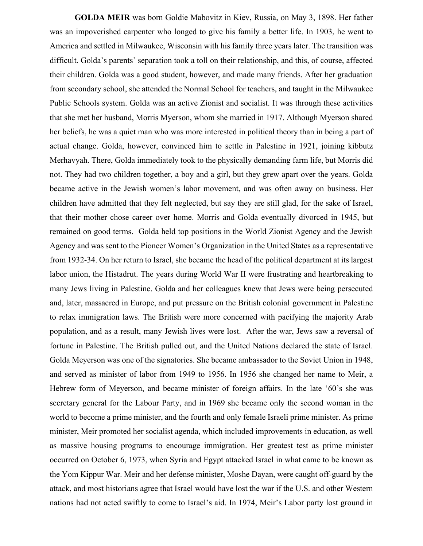**GOLDA MEIR** was born Goldie Mabovitz in Kiev, Russia, on May 3, 1898. Her father was an impoverished carpenter who longed to give his family a better life. In 1903, he went to America and settled in Milwaukee, Wisconsin with his family three years later. The transition was difficult. Golda's parents' separation took a toll on their relationship, and this, of course, affected their children. Golda was a good student, however, and made many friends. After her graduation from secondary school, she attended the Normal School for teachers, and taught in the Milwaukee Public Schools system. Golda was an active Zionist and socialist. It was through these activities that she met her husband, Morris Myerson, whom she married in 1917. Although Myerson shared her beliefs, he was a quiet man who was more interested in political theory than in being a part of actual change. Golda, however, convinced him to settle in Palestine in 1921, joining kibbutz Merhavyah. There, Golda immediately took to the physically demanding farm life, but Morris did not. They had two children together, a boy and a girl, but they grew apart over the years. Golda became active in the Jewish women's labor movement, and was often away on business. Her children have admitted that they felt neglected, but say they are still glad, for the sake of Israel, that their mother chose career over home. Morris and Golda eventually divorced in 1945, but remained on good terms. Golda held top positions in the World Zionist Agency and the Jewish Agency and was sent to the Pioneer Women's Organization in the United States as a representative from 1932-34. On her return to Israel, she became the head of the political department at its largest labor union, the Histadrut. The years during World War II were frustrating and heartbreaking to many Jews living in Palestine. Golda and her colleagues knew that Jews were being persecuted and, later, massacred in Europe, and put pressure on the British colonial government in Palestine to relax immigration laws. The British were more concerned with pacifying the majority Arab population, and as a result, many Jewish lives were lost. After the war, Jews saw a reversal of fortune in Palestine. The British pulled out, and the United Nations declared the state of Israel. Golda Meyerson was one of the signatories. She became ambassador to the Soviet Union in 1948, and served as minister of labor from 1949 to 1956. In 1956 she changed her name to Meir, a Hebrew form of Meyerson, and became minister of foreign affairs. In the late '60's she was secretary general for the Labour Party, and in 1969 she became only the second woman in the world to become a prime minister, and the fourth and only female Israeli prime minister. As prime minister, Meir promoted her socialist agenda, which included improvements in education, as well as massive housing programs to encourage immigration. Her greatest test as prime minister occurred on October 6, 1973, when Syria and Egypt attacked Israel in what came to be known as the Yom Kippur War. Meir and her defense minister, Moshe Dayan, were caught off-guard by the attack, and most historians agree that Israel would have lost the war if the U.S. and other Western nations had not acted swiftly to come to Israel's aid. In 1974, Meir's Labor party lost ground in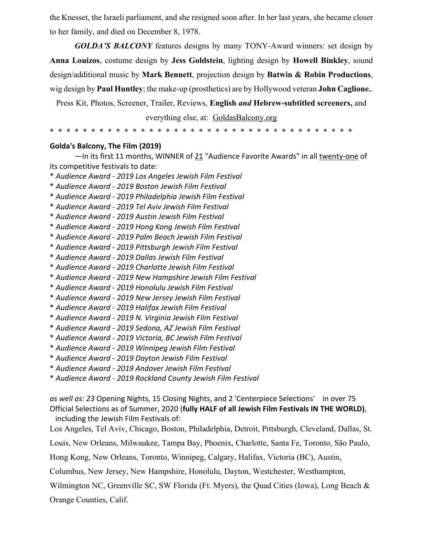the Knesset, the Israeli parliament, and she resigned soon after. In her last years, she became closer to her family, and died on December 8, 1978.

*GOLDA'S BALCONY* features designs by many TONY-Award winners: set design by **Anna Louizos**, costume design by **Jess Goldstein**, lighting design by **Howell Binkley**, sound design/additional music by **Mark Bennett**, projection design by **Batwin & Robin Productions**, wig design by **Paul Huntley**; the make-up (prosthetics) are by Hollywood veteran **John Caglione.**.

Press Kit, Photos, Screener, Trailer, Reviews, **English** *and* **Hebrew-subtitled screeners,** and

everything else, at: GoldasBalcony.org

\* \* \* \* \* \* \* \* \* \* \* \* \* \* \* \* \* \* \* \* \* \* \* \* \* \* \* \* \* \* \* \* \* \* \* \* \*

#### **Golda's Balcony, The Film (2019)**

—In its first 11 months, WINNER of 21 "Audience Favorite Awards" in all twenty-one of its competitive festivals to date:

- \* *Audience Award - 2019 Los Angeles Jewish Film Festival*
- \* *Audience Award - 2019 Boston Jewish Film Festival*
- \* *Audience Award - 2019 Philadelphia Jewish Film Festival*
- \* *Audience Award - 2019 Tel Aviv Jewish Film Festival*
- \* *Audience Award - 2019 Austin Jewish Film Festival*
- \* *Audience Award - 2019 Hong Kong Jewish Film Festival*
- \* *Audience Award - 2019 Palm Beach Jewish Film Festival*
- \* *Audience Award - 2019 Pittsburgh Jewish Film Festival*
- \* *Audience Award - 2019 Dallas Jewish Film Festival*
- \* *Audience Award - 2019 Charlotte Jewish Film Festival*
- \* *Audience Award - 2019 New Hampshire Jewish Film Festival*
- \* *Audience Award - 2019 Honolulu Jewish Film Festival*
- \* *Audience Award - 2019 New Jersey Jewish Film Festival*
- \* *Audience Award - 2019 Halifax Jewish Film Festival*
- \* *Audience Award - 2019 N. Virginia Jewish Film Festival*
- \* *Audience Award - 2019 Sedona, AZ Jewish Film Festival*
- \* *Audience Award - 2019 Victoria, BC Jewish Film Festival*
- \* *Audience Award - 2019 Winnipeg Jewish Film Festival*
- \* *Audience Award - 2019 Dayton Jewish Film Festival*
- \* *Audience Award - 2019 Andover Jewish Film Festival*
- \* *Audience Award - 2019 Rockland County Jewish Film Festival*

*as well as: 23* Opening Nights, 15 Closing Nights, and 2 'Centerpiece Selections' in over 75 Official Selections as of Summer, 2020 (**fully HALF of all Jewish Film Festivals IN THE WORLD)**, including the Jewish Film Festivals of:

Los Angeles, Tel Aviv, Chicago, Boston, Philadelphia, Detroit, Pittsburgh, Cleveland, Dallas, St.

Louis, New Orleans, Milwaukee, Tampa Bay, Phoenix, Charlotte, Santa Fe, Toronto, São Paulo,

Hong Kong, New Orleans, Toronto, Winnipeg, Calgary, Halifax, Victoria (BC), Austin,

Columbus, New Jersey, New Hampshire, Honolulu, Dayton, Westchester, Westhampton,

Wilmington NC, Greenville SC, SW Florida (Ft. Myers), the Quad Cities (Iowa), Long Beach &

Orange Counties, Calif.